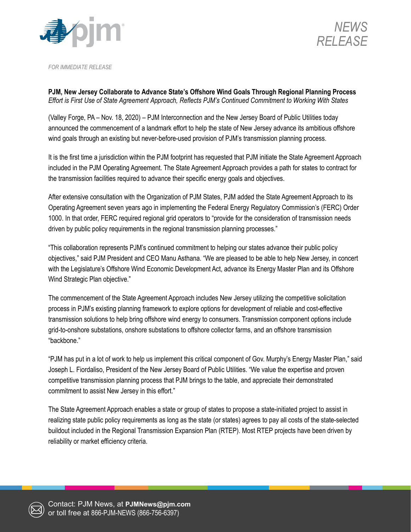



*FOR IMMEDIATE RELEASE*

**PJM, New Jersey Collaborate to Advance State's Offshore Wind Goals Through Regional Planning Process** *Effort is First Use of State Agreement Approach, Reflects PJM's Continued Commitment to Working With States*

(Valley Forge, PA – Nov. 18, 2020) – PJM Interconnection and the New Jersey Board of Public Utilities today announced the commencement of a landmark effort to help the state of New Jersey advance its ambitious offshore wind goals through an existing but never-before-used provision of PJM's transmission planning process.

It is the first time a jurisdiction within the PJM footprint has requested that PJM initiate the State Agreement Approach included in the PJM Operating Agreement. The State Agreement Approach provides a path for states to contract for the transmission facilities required to advance their specific energy goals and objectives.

After extensive consultation with the Organization of PJM States, PJM added the State Agreement Approach to its Operating Agreement seven years ago in implementing the Federal Energy Regulatory Commission's (FERC) Order 1000. In that order, FERC required regional grid operators to "provide for the consideration of transmission needs driven by public policy requirements in the regional transmission planning processes."

"This collaboration represents PJM's continued commitment to helping our states advance their public policy objectives," said PJM President and CEO Manu Asthana. "We are pleased to be able to help New Jersey, in concert with the Legislature's Offshore Wind Economic Development Act, advance its Energy Master Plan and its Offshore Wind Strategic Plan objective."

The commencement of the State Agreement Approach includes New Jersey utilizing the competitive solicitation process in PJM's existing planning framework to explore options for development of reliable and cost-effective transmission solutions to help bring offshore wind energy to consumers. Transmission component options include grid-to-onshore substations, onshore substations to offshore collector farms, and an offshore transmission "backbone."

"PJM has put in a lot of work to help us implement this critical component of Gov. Murphy's Energy Master Plan," said Joseph L. Fiordaliso, President of the New Jersey Board of Public Utilities. "We value the expertise and proven competitive transmission planning process that PJM brings to the table, and appreciate their demonstrated commitment to assist New Jersey in this effort."

The State Agreement Approach enables a state or group of states to propose a state-initiated project to assist in realizing state public policy requirements as long as the state (or states) agrees to pay all costs of the state-selected buildout included in the Regional Transmission Expansion Plan (RTEP). Most RTEP projects have been driven by reliability or market efficiency criteria.